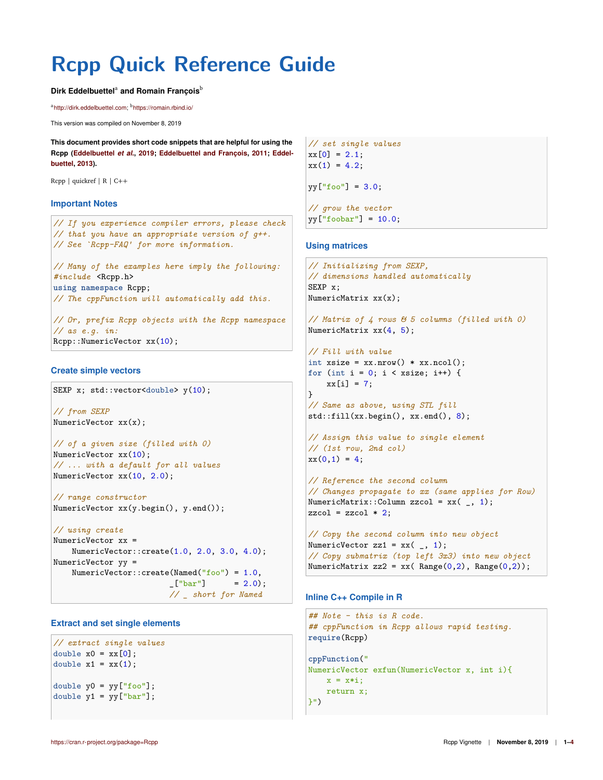# **Rcpp Quick Reference Guide**

#### Dirk Eddelbuettel<sup>a</sup> and Romain François<sup>b</sup>

<sup>a</sup>http://dirk.eddelbuettel.com; <sup>b</sup>https://romain.rbind.io/

This version was compiled on November 8, 2019

**This document provides short code snippets that are helpful for using the Rcpp (Eddelbuettel** *et al.***, 2019; Eddelbuettel and François, 2011; Eddelbuettel, 2013).**

Rcpp | quickref | R | C++

#### **Important Notes**

```
// If you experience compiler errors, please check
// that you have an appropriate version of g++.
// See `Rcpp-FAQ' for more information.
// Many of the examples here imply the following:
#include <Rcpp.h>
using namespace Rcpp;
// The cppFunction will automatically add this.
// Or, prefix Rcpp objects with the Rcpp namespace
// as e.g. in:
Rcpp::NumericVector xx(10);
```
#### **Create simple vectors**

```
SEXP x; std::vector<double> y(10);
```

```
// from SEXP
NumericVector xx(x);
```

```
// of a given size (filled with 0)
NumericVector xx(10);
// ... with a default for all values
NumericVector xx(10, 2.0);
```

```
// range constructor
NumericVector xx(y.begin(), y.end());
```

```
// using create
NumericVector xx =
   NumericVector::create(1.0, 2.0, 3.0, 4.0);
NumericVector yy =
   NumericVector::create(Named("foo") = 1.0,
                        -["bar"] = 2.0);
                        // _ short for Named
```
# **Extract and set single elements**

```
// extract single values
double x0 = xx[0]:
double x1 = xx(1);
double y0 = yy["foo"];
double y1 = yy['bar"];
```

```
// set single values
xx[0] = 2.1;
xx(1) = 4.2;
```
yy["foo"] = 3.0;

*// grow the vector*  $yy['fookar"] = 10.0;$ 

## **Using matrices**

```
// Initializing from SEXP,
// dimensions handled automatically
SEXP x;
NumericMatrix xx(x);
```

```
// Matrix of 4 rows & 5 columns (filled with 0)
NumericMatrix xx(4, 5);
```

```
// Fill with value
int xsize = xx.nrow() * xx.ncol();
for (int i = 0; i < xsize; i++) {
   xx[i] = 7;}
```

```
// Same as above, using STL fill
std::fill(xx.begin(), xx.end(), 8);
```

```
// Assign this value to single element
// (1st row, 2nd col)
x(x(0,1) = 4;
```

```
// Reference the second column
// Changes propagate to xx (same applies for Row)
NumericMatrix::Column zzcol = xx(, 1);
zzcol = zzcol * 2;
```

```
// Copy the second column into new object
NumericVector zz1 = xx(, 1);
// Copy submatrix (top left 3x3) into new object
NumericMatrix zz2 = xx( Range(0,2), Range(0,2));
```
# **Inline C++ Compile in R**

```
## Note - this is R code.
## cppFunction in Rcpp allows rapid testing.
require(Rcpp)
```

```
cppFunction("
NumericVector exfun(NumericVector x, int i){
   x = x * i;return x;
}")
```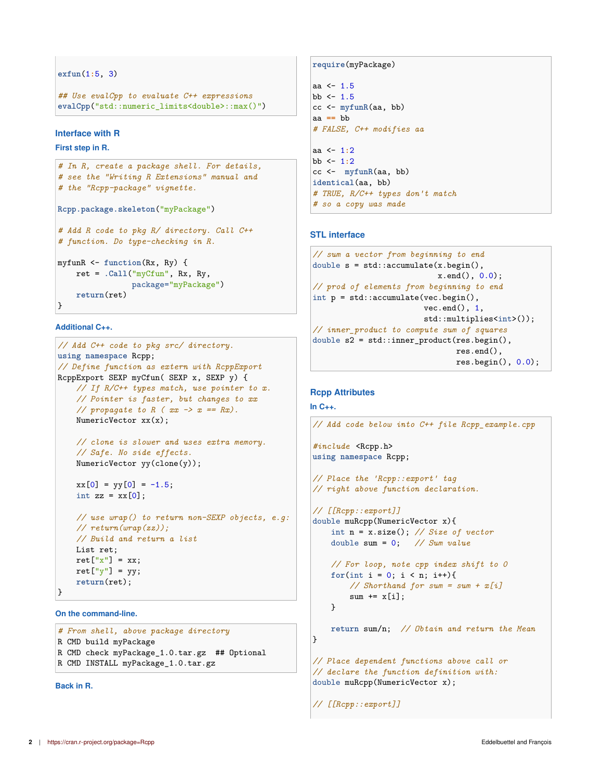```
exfun(1:5, 3)
```

```
## Use evalCpp to evaluate C++ expressions
evalCpp("std::numeric_limits<double>::max()")
```
# **Interface with R**

**First step in R.**

```
# In R, create a package shell. For details,
# see the "Writing R Extensions" manual and
# the "Rcpp-package" vignette.
Rcpp.package.skeleton("myPackage")
# Add R code to pkg R/ directory. Call C++
# function. Do type-checking in R.
myfunR <- function(Rx, Ry) {
   ret = .Call("myCfun", Rx, Ry,
```
package="myPackage") **return**(ret) }

## **Additional C++.**

```
// Add C++ code to pkg src/ directory.
using namespace Rcpp;
// Define function as extern with RcppExport
RcppExport SEXP myCfun( SEXP x, SEXP y) {
   // If R/C++ types match, use pointer to x.
    // Pointer is faster, but changes to xx
    // propagate to R (xx \rightarrow x == Rx).
   NumericVector xx(x);
    // clone is slower and uses extra memory.
    // Safe. No side effects.
   NumericVector yy(clone(y));
   xx[0] = yy[0] = -1.5;int zz = xx[0];
   // use wrap() to return non-SEXP objects, e.g:
   // return(wrap(zz));
   // Build and return a list
   List ret;
   ret["x"] = xx;ret['y"] = yy;return(ret);
}
```
**On the command-line.**

```
# From shell, above package directory
R CMD build myPackage
R CMD check myPackage_1.0.tar.gz ## Optional
R CMD INSTALL myPackage_1.0.tar.gz
```
**Back in R.**

#### **require**(myPackage)

```
aa <-1.5bb \leftarrow 1.5
cc <- myfunR(aa, bb)
aa == bb
# FALSE, C++ modifies aa
aa <- 1:2
bb <- 1:2
cc <- myfunR(aa, bb)
identical(aa, bb)
# TRUE, R/C++ types don't match
# so a copy was made
```
# **STL interface**

```
// sum a vector from beginning to end
double s = std::accumulate(x.\text{begin}(),x.end(), 0.0);
// prod of elements from beginning to end
int p = std::accumulate(vec.begin(),
                        vec.end(), 1,
                        std::multiplies<int>());
// inner_product to compute sum of squares
double s2 = std::inner_product(res.begin(),
                                res.end(),
                                res.begin(), 0.0);
```
#### **Rcpp Attributes**

```
In C++.
```

```
// Add code below into C++ file Rcpp_example.cpp
#include <Rcpp.h>
using namespace Rcpp;
// Place the 'Rcpp::export' tag
// right above function declaration.
// [[Rcpp::export]]
double muRcpp(NumericVector x){
    int n = x.size(); // Size of vector
    double sum = 0; // Sum value
    // For loop, note cpp index shift to 0
   for(int i = 0; i < n; i++){
        // Shorthand for sum = sum + x[i]
        sum += x[i];
    }
    return sum/n; // Obtain and return the Mean
}
// Place dependent functions above call or
// declare the function definition with:
double muRcpp(NumericVector x);
// [[Rcpp::export]]
```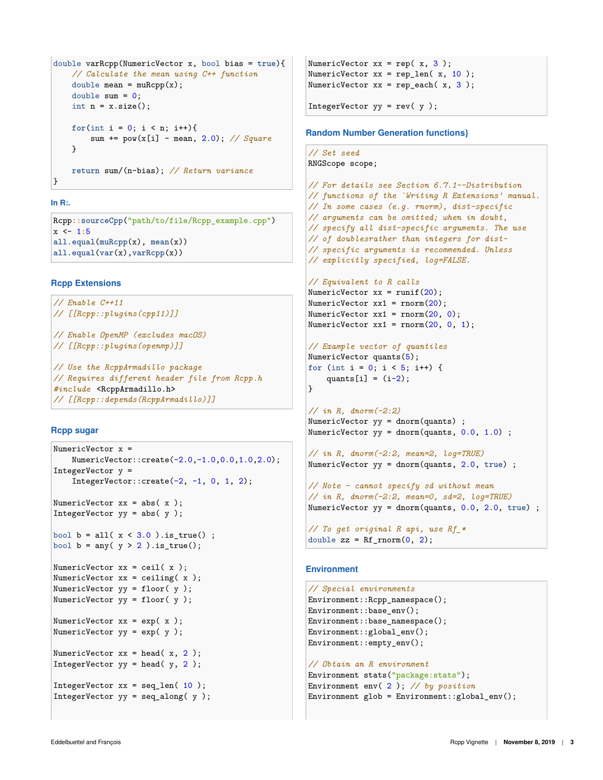```
double varRcpp(NumericVector x, bool bias = true){
    // Calculate the mean using C++ function
   double mean = muRcpp(x);
   double sum = 0;
   int n = x.size();
   for(int i = 0; i < n; i++){
        sum += pow(x[i] - mean, 2.0); // Square
   }
   return sum/(n-bias); // Return variance
```
## **In R:.**

}

Rcpp**::sourceCpp**("path/to/file/Rcpp\_example.cpp") x <- 1**:**5 **all.equal**(**muRcpp**(x), **mean**(x)) **all.equal**(**var**(x),**varRcpp**(x))

## **Rcpp Extensions**

```
// Enable C++11
// [[Rcpp::plugins(cpp11)]]
// Enable OpenMP (excludes macOS)
// [[Rcpp::plugins(openmp)]]
// Use the RcppArmadillo package
// Requires different header file from Rcpp.h
#include <RcppArmadillo.h>
// [[Rcpp::depends(RcppArmadillo)]]
```
# **Rcpp sugar**

```
NumericVector x =
   NumericVector::create(-2.0,-1.0,0.0,1.0,2.0);
IntegerVector y =
    IntegerVector::create(-2, -1, 0, 1, 2);
NumericVector xx = abs(x);
IntegerVector yy = abs(y);
bool b = all(x < 3.0). is_true() ;
bool b = any(y > 2).is_true();
NumericVector xx = ceil(x);
NumericVector xx = ceiling(x);
NumericVector yy = floor( y );
NumericVector yy = floor( y );
NumericVector xx = exp(x);
NumericVector yy = exp(y);
NumericVector xx = head(x, 2);
IntegerVector yy = head(y, 2);
IntegerVector xx = seq_len( 10 );
IntegerVector yy = seq\_along(y);
```

```
NumericVector xx = rep(x, 3);
NumericVector xx = rep\_len(x, 10);
NumericVector xx = rep\_each(x, 3);
```
IntegerVector yy = rev( y );

## **Random Number Generation functions}**

```
// Set seed
RNGScope scope;
```

```
// For details see Section 6.7.1--Distribution
// functions of the `Writing R Extensions' manual.
// In some cases (e.g. rnorm), dist-specific
// arguments can be omitted; when in doubt,
// specify all dist-specific arguments. The use
// of doublesrather than integers for dist-
// specific arguments is recommended. Unless
// explicitly specified, log=FALSE.
```
#### *// Equivalent to R calls*

```
NumericVector xx = runif(20);
NumericVector xx1 = rnorm(20);
NumericVector xx1 = rnorm(20, 0);
NumericVector xx1 = rnorm(20, 0, 1);
```

```
// Example vector of quantiles
```

```
NumericVector quants(5);
for (int i = 0; i < 5; i++) {
   quants[i] = (i-2);
}
```

```
// in R, dnorm(-2:2)
NumericVector yy = \text{dnorm}(quants);
NumericVector yy = dnorm(quants, 0.0, 1.0) ;
```

```
// in R, dnorm(-2:2, mean=2, log=TRUE)
NumericVector yy = dnorm(quants, 2.0, true) ;
```
*// Note - cannot specify sd without mean // in R, dnorm(-2:2, mean=0, sd=2, log=TRUE)* NumericVector yy = dnorm(quants, 0.0, 2.0, **true**) ;

```
// To get original R api, use Rf_*
double zz = Rf_rnorm(0, 2);
```
# **Environment**

```
// Special environments
Environment::Rcpp_namespace();
Environment::base_env();
Environment::base_namespace();
Environment::global env();
Environment::empty_env();
```

```
// Obtain an R environment
Environment stats("package:stats");
Environment env( 2 ); // by position
Environment glob = Environment::global_env();
```